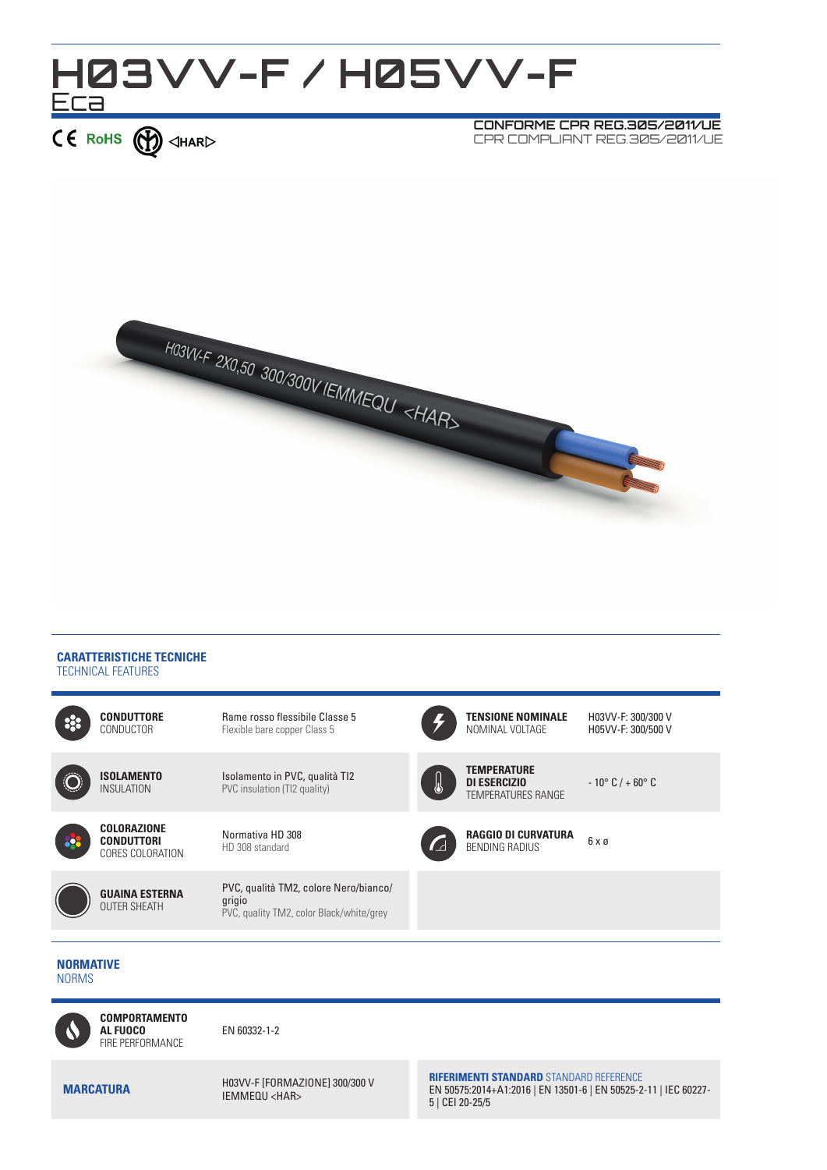



#### **CARATTERISTICHE TECNICHE** TECHNICAL FEATURES



### **NORMATIVE** NORMS



EN 60332-1-2

**MARCATURA** H03VV-F [FORMAZIONE] 300/300 V IEMMEQU <HAR>

**RIFERIMENTI STANDARD** STANDARD REFERENCE EN 50575:2014+A1:2016 | EN 13501-6 | EN 50525-2-11 | IEC 60227- 5 | CEI 20-25/5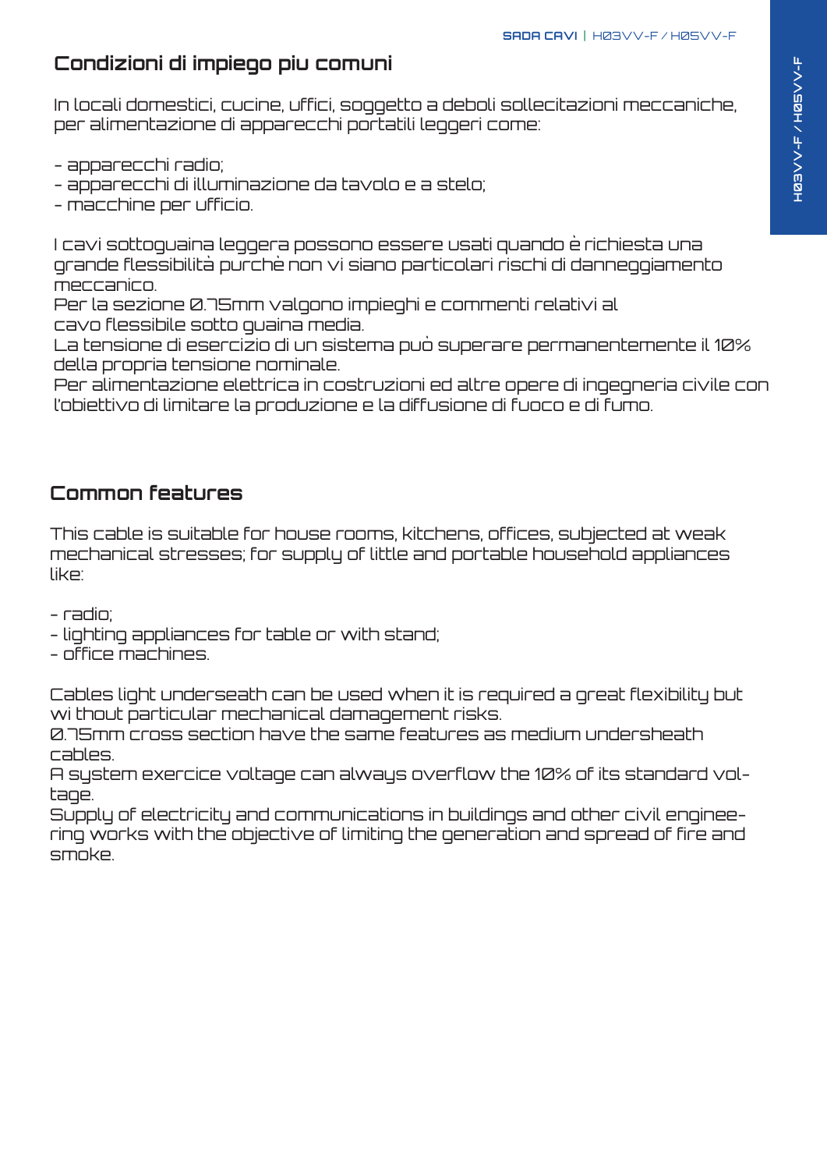## **Condizioni di impiego piu comuni**

In locali domestici, cucine, uffici, soggetto a deboli sollecitazioni meccaniche, per alimentazione di apparecchi portatili leggeri come:

- apparecchi radio;
- apparecchi di illuminazione da tavolo e a stelo;
- macchine per ufficio.

I cavi sottoguaina leggera possono essere usati quando è richiesta una grande flessibilità purchè non vi siano particolari rischi di danneggiamento meccanico.

Per la sezione 0.75mm valgono impieghi e commenti relativi al cavo flessibile sotto guaina media.

La tensione di esercizio di un sistema può superare permanentemente il 10% della propria tensione nominale.

Per alimentazione elettrica in costruzioni ed altre opere di ingegneria civile con l'obiettivo di limitare la produzione e la diffusione di fuoco e di fumo.

### **Common features**

This cable is suitable for house rooms, kitchens, offices, subjected at weak mechanical stresses; for supply of little and portable household appliances like:

- radio;

- lighting appliances for table or with stand;
- office machines.

Cables light underseath can be used when it is required a great flexibility but wi thout particular mechanical damagement risks.

0.75mm² cross section have the same features as medium undersheath cables.

A system exercice voltage can always overflow the 10% of its standard voltage.

Supply of electricity and communications in buildings and other civil engineering works with the objective of limiting the generation and spread of fire and smoke.